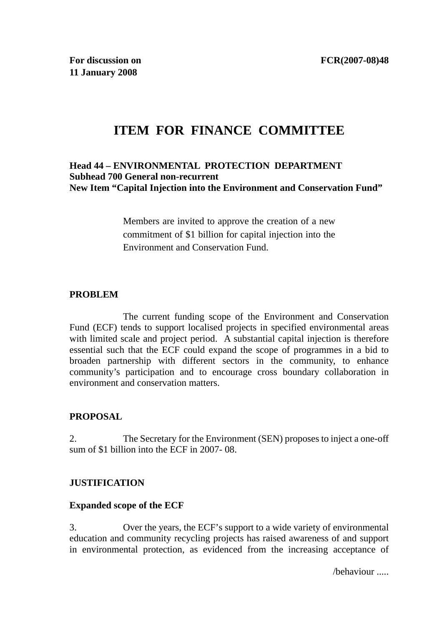# **ITEM FOR FINANCE COMMITTEE**

### **Head 44 – ENVIRONMENTAL PROTECTION DEPARTMENT Subhead 700 General non-recurrent New Item "Capital Injection into the Environment and Conservation Fund"**

Members are invited to approve the creation of a new commitment of \$1 billion for capital injection into the Environment and Conservation Fund.

# **PROBLEM**

 The current funding scope of the Environment and Conservation Fund (ECF) tends to support localised projects in specified environmental areas with limited scale and project period. A substantial capital injection is therefore essential such that the ECF could expand the scope of programmes in a bid to broaden partnership with different sectors in the community, to enhance community's participation and to encourage cross boundary collaboration in environment and conservation matters.

# **PROPOSAL**

2. The Secretary for the Environment (SEN) proposes to inject a one-off sum of \$1 billion into the ECF in 2007- 08.

# **JUSTIFICATION**

# **Expanded scope of the ECF**

3. Over the years, the ECF's support to a wide variety of environmental education and community recycling projects has raised awareness of and support in environmental protection, as evidenced from the increasing acceptance of

/behaviour .....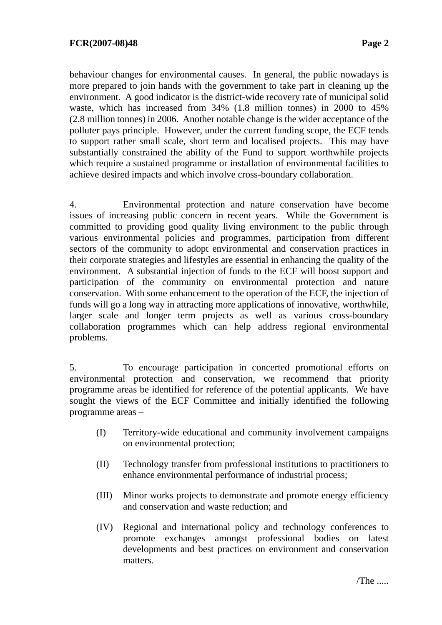behaviour changes for environmental causes. In general, the public nowadays is more prepared to join hands with the government to take part in cleaning up the environment. A good indicator is the district-wide recovery rate of municipal solid waste, which has increased from 34% (1.8 million tonnes) in 2000 to 45% (2.8 million tonnes) in 2006. Another notable change is the wider acceptance of the polluter pays principle. However, under the current funding scope, the ECF tends to support rather small scale, short term and localised projects. This may have substantially constrained the ability of the Fund to support worthwhile projects which require a sustained programme or installation of environmental facilities to achieve desired impacts and which involve cross-boundary collaboration.

4. Environmental protection and nature conservation have become issues of increasing public concern in recent years. While the Government is committed to providing good quality living environment to the public through various environmental policies and programmes, participation from different sectors of the community to adopt environmental and conservation practices in their corporate strategies and lifestyles are essential in enhancing the quality of the environment. A substantial injection of funds to the ECF will boost support and participation of the community on environmental protection and nature conservation. With some enhancement to the operation of the ECF, the injection of funds will go a long way in attracting more applications of innovative, worthwhile, larger scale and longer term projects as well as various cross-boundary collaboration programmes which can help address regional environmental problems.

5. To encourage participation in concerted promotional efforts on environmental protection and conservation, we recommend that priority programme areas be identified for reference of the potential applicants. We have sought the views of the ECF Committee and initially identified the following programme areas –

- (I) Territory-wide educational and community involvement campaigns on environmental protection;
- (II) Technology transfer from professional institutions to practitioners to enhance environmental performance of industrial process;
- (III) Minor works projects to demonstrate and promote energy efficiency and conservation and waste reduction; and
- (IV) Regional and international policy and technology conferences to promote exchanges amongst professional bodies on latest developments and best practices on environment and conservation matters.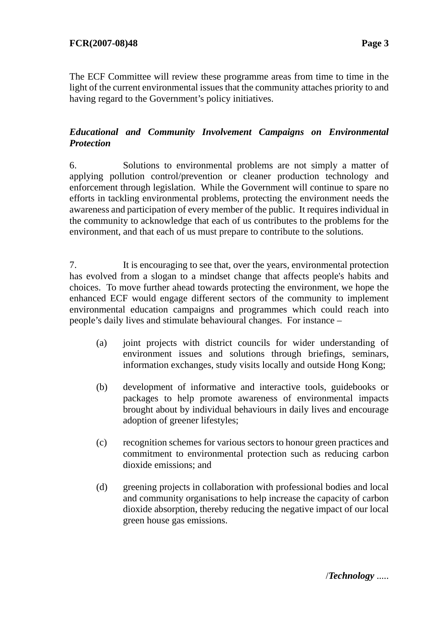The ECF Committee will review these programme areas from time to time in the light of the current environmental issues that the community attaches priority to and having regard to the Government's policy initiatives.

# *Educational and Community Involvement Campaigns on Environmental Protection*

6. Solutions to environmental problems are not simply a matter of applying pollution control/prevention or cleaner production technology and enforcement through legislation. While the Government will continue to spare no efforts in tackling environmental problems, protecting the environment needs the awareness and participation of every member of the public. It requires individual in the community to acknowledge that each of us contributes to the problems for the environment, and that each of us must prepare to contribute to the solutions.

7. It is encouraging to see that, over the years, environmental protection has evolved from a slogan to a mindset change that affects people's habits and choices. To move further ahead towards protecting the environment, we hope the enhanced ECF would engage different sectors of the community to implement environmental education campaigns and programmes which could reach into people's daily lives and stimulate behavioural changes. For instance –

- (a) joint projects with district councils for wider understanding of environment issues and solutions through briefings, seminars, information exchanges, study visits locally and outside Hong Kong;
- (b) development of informative and interactive tools, guidebooks or packages to help promote awareness of environmental impacts brought about by individual behaviours in daily lives and encourage adoption of greener lifestyles;
- (c) recognition schemes for various sectors to honour green practices and commitment to environmental protection such as reducing carbon dioxide emissions; and
- (d) greening projects in collaboration with professional bodies and local and community organisations to help increase the capacity of carbon dioxide absorption, thereby reducing the negative impact of our local green house gas emissions.

/*Technology* .....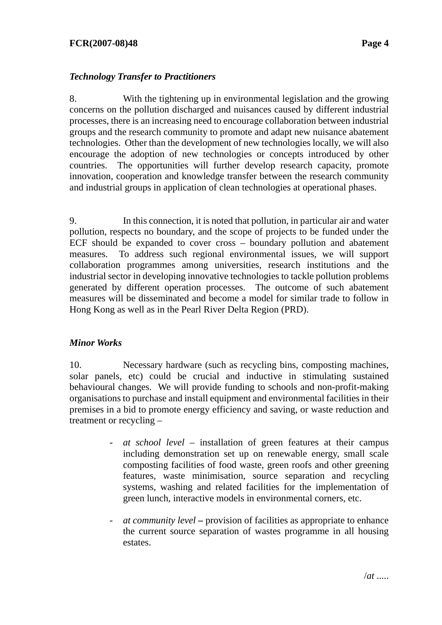#### **FCR(2007-08)48 Page 4**

# *Technology Transfer to Practitioners*

8. With the tightening up in environmental legislation and the growing concerns on the pollution discharged and nuisances caused by different industrial processes, there is an increasing need to encourage collaboration between industrial groups and the research community to promote and adapt new nuisance abatement technologies. Other than the development of new technologies locally, we will also encourage the adoption of new technologies or concepts introduced by other countries. The opportunities will further develop research capacity, promote innovation, cooperation and knowledge transfer between the research community and industrial groups in application of clean technologies at operational phases.

9. In this connection, it is noted that pollution, in particular air and water pollution, respects no boundary, and the scope of projects to be funded under the ECF should be expanded to cover cross – boundary pollution and abatement measures. To address such regional environmental issues, we will support collaboration programmes among universities, research institutions and the industrial sector in developing innovative technologies to tackle pollution problems generated by different operation processes. The outcome of such abatement measures will be disseminated and become a model for similar trade to follow in Hong Kong as well as in the Pearl River Delta Region (PRD).

# *Minor Works*

10. Necessary hardware (such as recycling bins, composting machines, solar panels, etc) could be crucial and inductive in stimulating sustained behavioural changes. We will provide funding to schools and non-profit-making organisations to purchase and install equipment and environmental facilities in their premises in a bid to promote energy efficiency and saving, or waste reduction and treatment or recycling –

- *at school level* installation of green features at their campus including demonstration set up on renewable energy, small scale composting facilities of food waste, green roofs and other greening features, waste minimisation, source separation and recycling systems, washing and related facilities for the implementation of green lunch, interactive models in environmental corners, etc.
- *at community level* provision of facilities as appropriate to enhance the current source separation of wastes programme in all housing estates.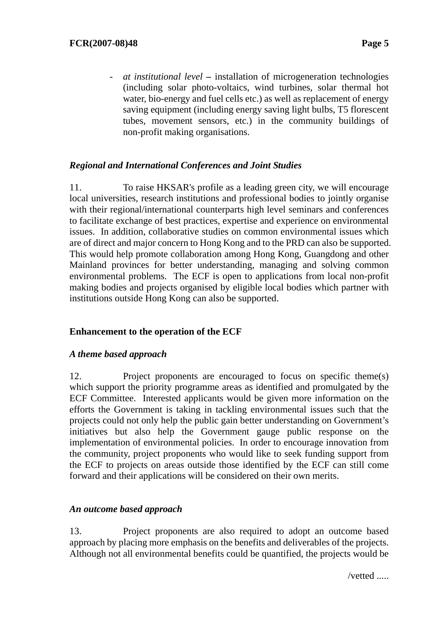- *at institutional level –* installation of microgeneration technologies (including solar photo-voltaics, wind turbines, solar thermal hot water, bio-energy and fuel cells etc.) as well as replacement of energy saving equipment (including energy saving light bulbs, T5 florescent tubes, movement sensors, etc.) in the community buildings of non-profit making organisations.

# *Regional and International Conferences and Joint Studies*

11. To raise HKSAR's profile as a leading green city, we will encourage local universities, research institutions and professional bodies to jointly organise with their regional/international counterparts high level seminars and conferences to facilitate exchange of best practices, expertise and experience on environmental issues. In addition, collaborative studies on common environmental issues which are of direct and major concern to Hong Kong and to the PRD can also be supported. This would help promote collaboration among Hong Kong, Guangdong and other Mainland provinces for better understanding, managing and solving common environmental problems. The ECF is open to applications from local non-profit making bodies and projects organised by eligible local bodies which partner with institutions outside Hong Kong can also be supported.

# **Enhancement to the operation of the ECF**

#### *A theme based approach*

12. Project proponents are encouraged to focus on specific theme(s) which support the priority programme areas as identified and promulgated by the ECF Committee. Interested applicants would be given more information on the efforts the Government is taking in tackling environmental issues such that the projects could not only help the public gain better understanding on Government's initiatives but also help the Government gauge public response on the implementation of environmental policies. In order to encourage innovation from the community, project proponents who would like to seek funding support from the ECF to projects on areas outside those identified by the ECF can still come forward and their applications will be considered on their own merits.

# *An outcome based approach*

13. Project proponents are also required to adopt an outcome based approach by placing more emphasis on the benefits and deliverables of the projects. Although not all environmental benefits could be quantified, the projects would be

/vetted .....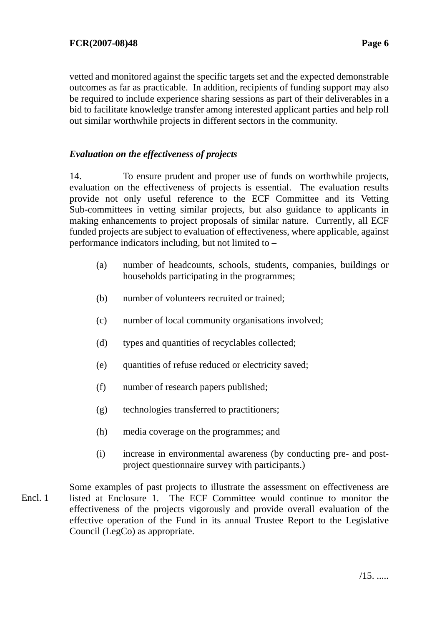vetted and monitored against the specific targets set and the expected demonstrable outcomes as far as practicable. In addition, recipients of funding support may also be required to include experience sharing sessions as part of their deliverables in a bid to facilitate knowledge transfer among interested applicant parties and help roll out similar worthwhile projects in different sectors in the community.

# *Evaluation on the effectiveness of projects*

14. To ensure prudent and proper use of funds on worthwhile projects, evaluation on the effectiveness of projects is essential. The evaluation results provide not only useful reference to the ECF Committee and its Vetting Sub-committees in vetting similar projects, but also guidance to applicants in making enhancements to project proposals of similar nature. Currently, all ECF funded projects are subject to evaluation of effectiveness, where applicable, against performance indicators including, but not limited to –

- (a) number of headcounts, schools, students, companies, buildings or households participating in the programmes;
- (b) number of volunteers recruited or trained;
- (c) number of local community organisations involved;
- (d) types and quantities of recyclables collected;
- (e) quantities of refuse reduced or electricity saved;
- (f) number of research papers published;
- (g) technologies transferred to practitioners;
- (h) media coverage on the programmes; and
- (i) increase in environmental awareness (by conducting pre- and postproject questionnaire survey with participants.)

Some examples of past projects to illustrate the assessment on effectiveness are listed at Enclosure 1. The ECF Committee would continue to monitor the effectiveness of the projects vigorously and provide overall evaluation of the effective operation of the Fund in its annual Trustee Report to the Legislative Council (LegCo) as appropriate. Encl. 1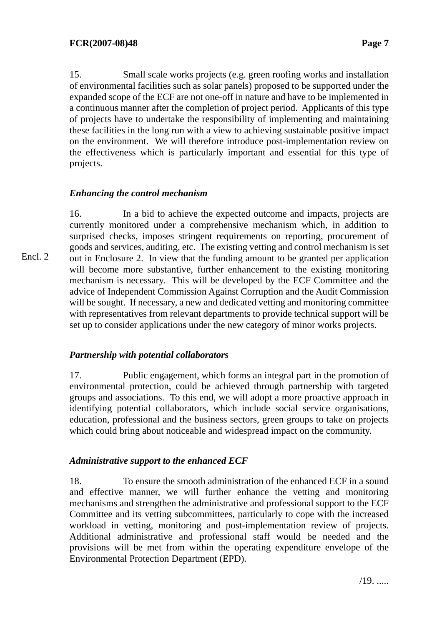15. Small scale works projects (e.g. green roofing works and installation of environmental facilities such as solar panels) proposed to be supported under the expanded scope of the ECF are not one-off in nature and have to be implemented in a continuous manner after the completion of project period. Applicants of this type of projects have to undertake the responsibility of implementing and maintaining these facilities in the long run with a view to achieving sustainable positive impact on the environment. We will therefore introduce post-implementation review on the effectiveness which is particularly important and essential for this type of projects.

# *Enhancing the control mechanism*

16. In a bid to achieve the expected outcome and impacts, projects are currently monitored under a comprehensive mechanism which, in addition to surprised checks, imposes stringent requirements on reporting, procurement of goods and services, auditing, etc. The existing vetting and control mechanism is set out in Enclosure 2. In view that the funding amount to be granted per application will become more substantive, further enhancement to the existing monitoring mechanism is necessary. This will be developed by the ECF Committee and the advice of Independent Commission Against Corruption and the Audit Commission will be sought. If necessary, a new and dedicated vetting and monitoring committee with representatives from relevant departments to provide technical support will be set up to consider applications under the new category of minor works projects.

# *Partnership with potential collaborators*

17. Public engagement, which forms an integral part in the promotion of environmental protection, could be achieved through partnership with targeted groups and associations. To this end, we will adopt a more proactive approach in identifying potential collaborators, which include social service organisations, education, professional and the business sectors, green groups to take on projects which could bring about noticeable and widespread impact on the community.

# *Administrative support to the enhanced ECF*

18. To ensure the smooth administration of the enhanced ECF in a sound and effective manner, we will further enhance the vetting and monitoring mechanisms and strengthen the administrative and professional support to the ECF Committee and its vetting subcommittees, particularly to cope with the increased workload in vetting, monitoring and post-implementation review of projects. Additional administrative and professional staff would be needed and the provisions will be met from within the operating expenditure envelope of the Environmental Protection Department (EPD).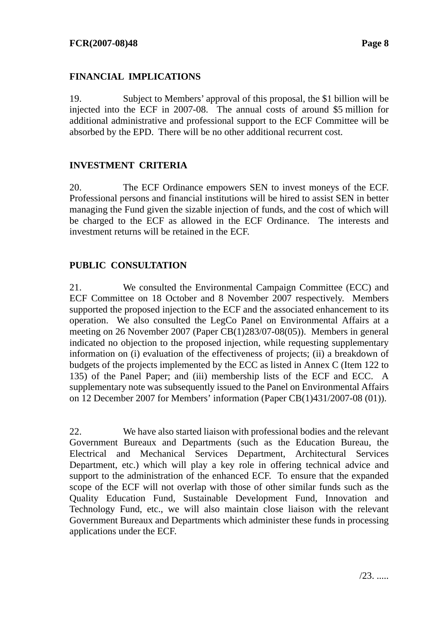# **FINANCIAL IMPLICATIONS**

19. Subject to Members' approval of this proposal, the \$1 billion will be injected into the ECF in 2007-08. The annual costs of around \$5 million for additional administrative and professional support to the ECF Committee will be absorbed by the EPD. There will be no other additional recurrent cost.

# **INVESTMENT CRITERIA**

20. The ECF Ordinance empowers SEN to invest moneys of the ECF. Professional persons and financial institutions will be hired to assist SEN in better managing the Fund given the sizable injection of funds, and the cost of which will be charged to the ECF as allowed in the ECF Ordinance. The interests and investment returns will be retained in the ECF.

# **PUBLIC CONSULTATION**

21. We consulted the Environmental Campaign Committee (ECC) and ECF Committee on 18 October and 8 November 2007 respectively. Members supported the proposed injection to the ECF and the associated enhancement to its operation. We also consulted the LegCo Panel on Environmental Affairs at a meeting on 26 November 2007 (Paper CB(1)283/07-08(05)). Members in general indicated no objection to the proposed injection, while requesting supplementary information on (i) evaluation of the effectiveness of projects; (ii) a breakdown of budgets of the projects implemented by the ECC as listed in Annex C (Item 122 to 135) of the Panel Paper; and (iii) membership lists of the ECF and ECC. A supplementary note was subsequently issued to the Panel on Environmental Affairs on 12 December 2007 for Members' information (Paper CB(1)431/2007-08 (01)).

22. We have also started liaison with professional bodies and the relevant Government Bureaux and Departments (such as the Education Bureau, the Electrical and Mechanical Services Department, Architectural Services Department, etc.) which will play a key role in offering technical advice and support to the administration of the enhanced ECF. To ensure that the expanded scope of the ECF will not overlap with those of other similar funds such as the Quality Education Fund, Sustainable Development Fund, Innovation and Technology Fund, etc., we will also maintain close liaison with the relevant Government Bureaux and Departments which administer these funds in processing applications under the ECF.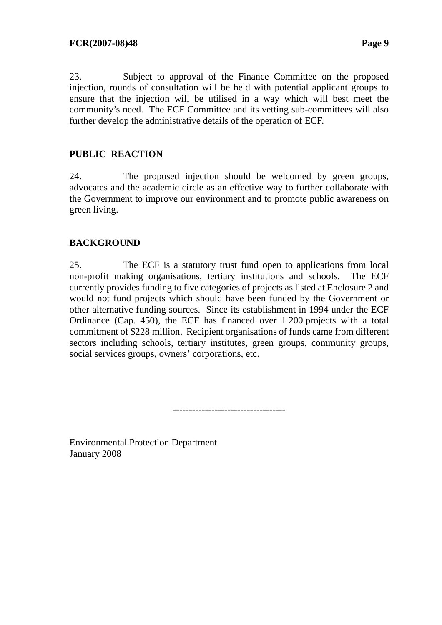23. Subject to approval of the Finance Committee on the proposed injection, rounds of consultation will be held with potential applicant groups to ensure that the injection will be utilised in a way which will best meet the community's need. The ECF Committee and its vetting sub-committees will also further develop the administrative details of the operation of ECF.

# **PUBLIC REACTION**

24. The proposed injection should be welcomed by green groups, advocates and the academic circle as an effective way to further collaborate with the Government to improve our environment and to promote public awareness on green living.

# **BACKGROUND**

25. The ECF is a statutory trust fund open to applications from local non-profit making organisations, tertiary institutions and schools. The ECF currently provides funding to five categories of projects as listed at Enclosure 2 and would not fund projects which should have been funded by the Government or other alternative funding sources. Since its establishment in 1994 under the ECF Ordinance (Cap. 450), the ECF has financed over 1 200 projects with a total commitment of \$228 million. Recipient organisations of funds came from different sectors including schools, tertiary institutes, green groups, community groups, social services groups, owners' corporations, etc.

-----------------------------------

Environmental Protection Department January 2008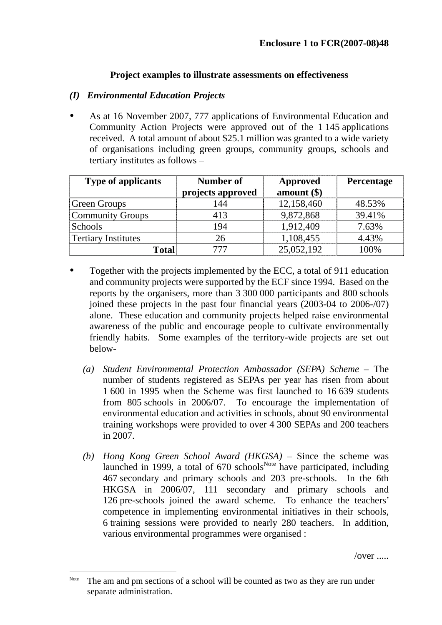# **Project examples to illustrate assessments on effectiveness**

### *(I) Environmental Education Projects*

As at 16 November 2007, 777 applications of Environmental Education and Community Action Projects were approved out of the 1 145 applications received. A total amount of about \$25.1 million was granted to a wide variety of organisations including green groups, community groups, schools and tertiary institutes as follows –

| <b>Type of applicants</b>  | Number of<br>projects approved | Approved<br>amount $(\$)$ | <b>Percentage</b> |
|----------------------------|--------------------------------|---------------------------|-------------------|
| <b>Green Groups</b>        | 144                            | 12,158,460                | 48.53%            |
| Community Groups           | 413                            | 9,872,868                 | 39.41%            |
| Schools                    | 194                            | 1,912,409                 | 7.63%             |
| <b>Tertiary Institutes</b> | 26                             | 1,108,455                 | 4.43%             |
| <b>Total</b>               | 777                            | 25,052,192                | 100%              |

- Together with the projects implemented by the ECC, a total of 911 education and community projects were supported by the ECF since 1994. Based on the reports by the organisers, more than 3 300 000 participants and 800 schools joined these projects in the past four financial years (2003-04 to 2006-/07) alone. These education and community projects helped raise environmental awareness of the public and encourage people to cultivate environmentally friendly habits. Some examples of the territory-wide projects are set out below-
	- *(a) Student Environmental Protection Ambassador (SEPA) Scheme* The number of students registered as SEPAs per year has risen from about 1 600 in 1995 when the Scheme was first launched to 16 639 students from 805 schools in 2006/07. To encourage the implementation of environmental education and activities in schools, about 90 environmental training workshops were provided to over 4 300 SEPAs and 200 teachers in 2007.
	- *(b) Hong Kong Green School Award (HKGSA)* Since the scheme was launched in 1999, a total of  $670$  schools<sup>Note</sup> have participated, including 467 secondary and primary schools and 203 pre-schools. In the 6th HKGSA in 2006/07, 111 secondary and primary schools and 126 pre-schools joined the award scheme. To enhance the teachers' competence in implementing environmental initiatives in their schools, 6 training sessions were provided to nearly 280 teachers. In addition, various environmental programmes were organised :

/over .....

 $\overline{a}$ 

Note The am and pm sections of a school will be counted as two as they are run under separate administration.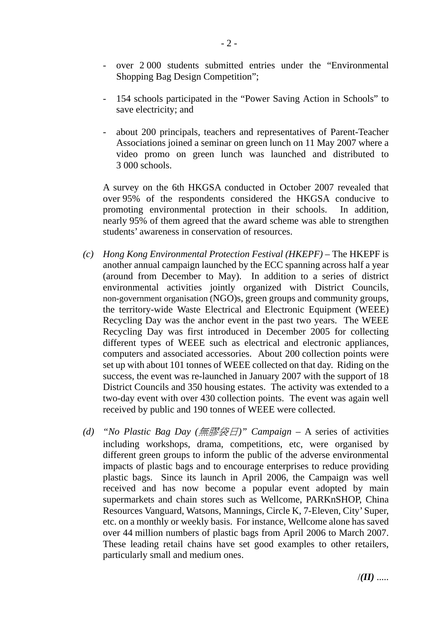- over 2 000 students submitted entries under the "Environmental Shopping Bag Design Competition";
- 154 schools participated in the "Power Saving Action in Schools" to save electricity; and
- about 200 principals, teachers and representatives of Parent-Teacher Associations joined a seminar on green lunch on 11 May 2007 where a video promo on green lunch was launched and distributed to 3 000 schools.

A survey on the 6th HKGSA conducted in October 2007 revealed that over 95% of the respondents considered the HKGSA conducive to promoting environmental protection in their schools. In addition, nearly 95% of them agreed that the award scheme was able to strengthen students' awareness in conservation of resources.

- *(c) Hong Kong Environmental Protection Festival (HKEPF)* The HKEPF is another annual campaign launched by the ECC spanning across half a year (around from December to May). In addition to a series of district environmental activities jointly organized with District Councils, non-government organisation (NGO)s, green groups and community groups, the territory-wide Waste Electrical and Electronic Equipment (WEEE) Recycling Day was the anchor event in the past two years. The WEEE Recycling Day was first introduced in December 2005 for collecting different types of WEEE such as electrical and electronic appliances, computers and associated accessories. About 200 collection points were set up with about 101 tonnes of WEEE collected on that day. Riding on the success, the event was re-launched in January 2007 with the support of 18 District Councils and 350 housing estates. The activity was extended to a two-day event with over 430 collection points. The event was again well received by public and 190 tonnes of WEEE were collected.
- *(d) "No Plastic Bag Day (*無膠袋日*)" Campaign* A series of activities including workshops, drama, competitions, etc, were organised by different green groups to inform the public of the adverse environmental impacts of plastic bags and to encourage enterprises to reduce providing plastic bags. Since its launch in April 2006, the Campaign was well received and has now become a popular event adopted by main supermarkets and chain stores such as Wellcome, PARKnSHOP, China Resources Vanguard, Watsons, Mannings, Circle K, 7-Eleven, City' Super, etc. on a monthly or weekly basis. For instance, Wellcome alone has saved over 44 million numbers of plastic bags from April 2006 to March 2007. These leading retail chains have set good examples to other retailers, particularly small and medium ones.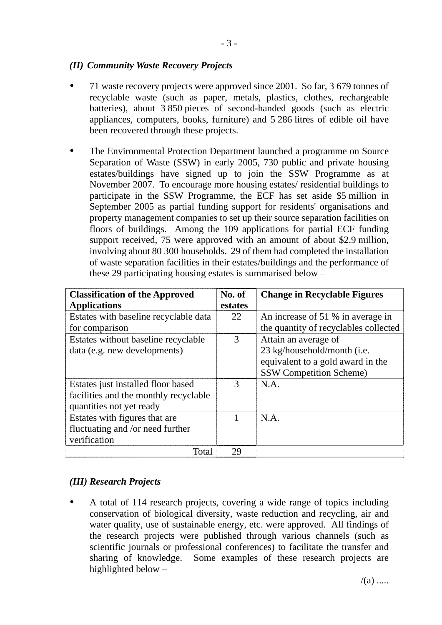### *(II) Community Waste Recovery Projects*

- 71 waste recovery projects were approved since 2001. So far, 3 679 tonnes of recyclable waste (such as paper, metals, plastics, clothes, rechargeable batteries), about 3 850 pieces of second-handed goods (such as electric appliances, computers, books, furniture) and 5 286 litres of edible oil have been recovered through these projects.
- The Environmental Protection Department launched a programme on Source Separation of Waste (SSW) in early 2005, 730 public and private housing estates/buildings have signed up to join the SSW Programme as at November 2007. To encourage more housing estates/ residential buildings to participate in the SSW Programme, the ECF has set aside \$5 million in September 2005 as partial funding support for residents' organisations and property management companies to set up their source separation facilities on floors of buildings. Among the 109 applications for partial ECF funding support received, 75 were approved with an amount of about \$2.9 million, involving about 80 300 households. 29 of them had completed the installation of waste separation facilities in their estates/buildings and the performance of these 29 participating housing estates is summarised below –

| <b>Classification of the Approved</b> | No. of  | <b>Change in Recyclable Figures</b>   |
|---------------------------------------|---------|---------------------------------------|
| <b>Applications</b>                   | estates |                                       |
| Estates with baseline recyclable data | 22      | An increase of 51 % in average in     |
| for comparison                        |         | the quantity of recyclables collected |
| Estates without baseline recyclable   | 3       | Attain an average of                  |
| data (e.g. new developments)          |         | 23 kg/household/month (i.e.           |
|                                       |         | equivalent to a gold award in the     |
|                                       |         | <b>SSW Competition Scheme)</b>        |
| Estates just installed floor based    | 3       | N.A.                                  |
| facilities and the monthly recyclable |         |                                       |
| quantities not yet ready              |         |                                       |
| Estates with figures that are         |         | N.A.                                  |
| fluctuating and /or need further      |         |                                       |
| verification                          |         |                                       |
| Total                                 | 29      |                                       |

# *(III) Research Projects*

A total of 114 research projects, covering a wide range of topics including conservation of biological diversity, waste reduction and recycling, air and water quality, use of sustainable energy, etc. were approved. All findings of the research projects were published through various channels (such as scientific journals or professional conferences) to facilitate the transfer and sharing of knowledge. Some examples of these research projects are highlighted below –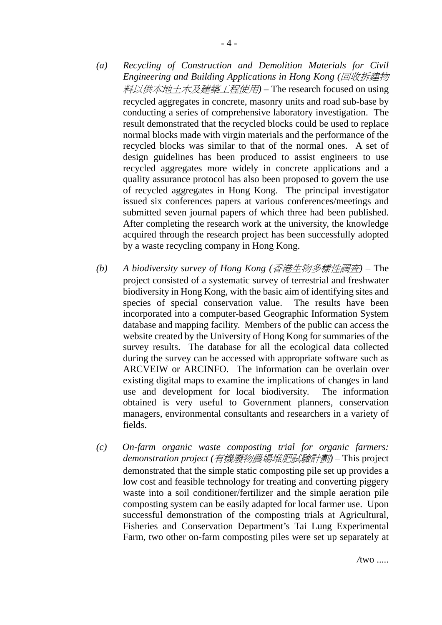- *(a) Recycling of Construction and Demolition Materials for Civil Engineering and Building Applications in Hong Kong (*回收拆建物 料以供本地土木及建築工程使用*)* – The research focused on using recycled aggregates in concrete, masonry units and road sub-base by conducting a series of comprehensive laboratory investigation. The result demonstrated that the recycled blocks could be used to replace normal blocks made with virgin materials and the performance of the recycled blocks was similar to that of the normal ones. A set of design guidelines has been produced to assist engineers to use recycled aggregates more widely in concrete applications and a quality assurance protocol has also been proposed to govern the use of recycled aggregates in Hong Kong. The principal investigator issued six conferences papers at various conferences/meetings and submitted seven journal papers of which three had been published. After completing the research work at the university, the knowledge acquired through the research project has been successfully adopted
- *(b) A biodiversity survey of Hong Kong (*香港生物多樣性調查*)* The project consisted of a systematic survey of terrestrial and freshwater biodiversity in Hong Kong, with the basic aim of identifying sites and species of special conservation value. The results have been incorporated into a computer-based Geographic Information System database and mapping facility. Members of the public can access the website created by the University of Hong Kong for summaries of the survey results. The database for all the ecological data collected during the survey can be accessed with appropriate software such as ARCVEIW or ARCINFO. The information can be overlain over existing digital maps to examine the implications of changes in land use and development for local biodiversity. The information obtained is very useful to Government planners, conservation managers, environmental consultants and researchers in a variety of fields.

by a waste recycling company in Hong Kong.

*(c) On-farm organic waste composting trial for organic farmers: demonstration project (*有機廢物農場堆肥試驗計劃*)* – This project demonstrated that the simple static composting pile set up provides a low cost and feasible technology for treating and converting piggery waste into a soil conditioner/fertilizer and the simple aeration pile composting system can be easily adapted for local farmer use. Upon successful demonstration of the composting trials at Agricultural, Fisheries and Conservation Department's Tai Lung Experimental Farm, two other on-farm composting piles were set up separately at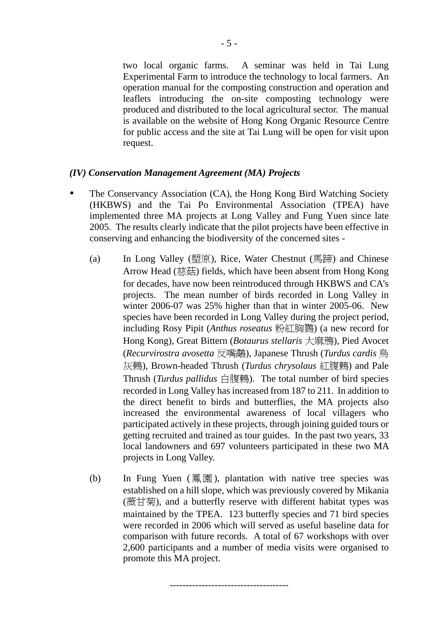two local organic farms. A seminar was held in Tai Lung Experimental Farm to introduce the technology to local farmers. An operation manual for the composting construction and operation and leaflets introducing the on-site composting technology were produced and distributed to the local agricultural sector. The manual is available on the website of Hong Kong Organic Resource Centre for public access and the site at Tai Lung will be open for visit upon request.

#### *(IV) Conservation Management Agreement (MA) Projects*

- The Conservancy Association (CA), the Hong Kong Bird Watching Society (HKBWS) and the Tai Po Environmental Association (TPEA) have implemented three MA projects at Long Valley and Fung Yuen since late 2005. The results clearly indicate that the pilot projects have been effective in conserving and enhancing the biodiversity of the concerned sites -
	- (a) In Long Valley (塱原), Rice, Water Chestnut (馬蹄) and Chinese Arrow Head (慈菇) fields, which have been absent from Hong Kong for decades, have now been reintroduced through HKBWS and CA's projects. The mean number of birds recorded in Long Valley in winter 2006-07 was 25% higher than that in winter 2005-06. New species have been recorded in Long Valley during the project period, including Rosy Pipit (*Anthus roseatus* 粉紅胸鷚) (a new record for Hong Kong), Great Bittern (*Botaurus stellaris* 大麻鳽), Pied Avocet (*Recurvirostra avosetta* 反嘴鷸), Japanese Thrush (*Turdus cardis* 烏 灰鶇), Brown-headed Thrush (*Turdus chrysolaus* 紅腹鶇) and Pale Thrush (*Turdus pallidus* 白腹鶇). The total number of bird species recorded in Long Valley has increased from 187 to 211. In addition to the direct benefit to birds and butterflies, the MA projects also increased the environmental awareness of local villagers who participated actively in these projects, through joining guided tours or getting recruited and trained as tour guides. In the past two years, 33 local landowners and 697 volunteers participated in these two MA projects in Long Valley.
	- (b) In Fung Yuen ( $\boxed{\mathbb{R}}$   $\boxed{\mathbb{R}}$ ), plantation with native tree species was established on a hill slope, which was previously covered by Mikania (薇甘菊), and a butterfly reserve with different habitat types was maintained by the TPEA. 123 butterfly species and 71 bird species were recorded in 2006 which will served as useful baseline data for comparison with future records. A total of 67 workshops with over 2,600 participants and a number of media visits were organised to promote this MA project.

-------------------------------------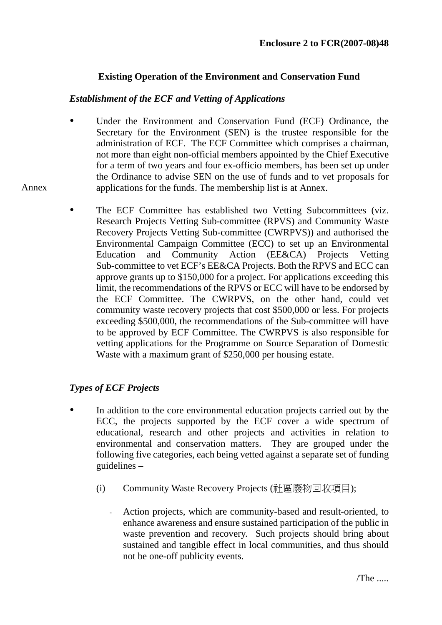# **Existing Operation of the Environment and Conservation Fund**

### *Establishment of the ECF and Vetting of Applications*

- Under the Environment and Conservation Fund (ECF) Ordinance, the Secretary for the Environment (SEN) is the trustee responsible for the administration of ECF. The ECF Committee which comprises a chairman, not more than eight non-official members appointed by the Chief Executive for a term of two years and four ex-officio members, has been set up under the Ordinance to advise SEN on the use of funds and to vet proposals for applications for the funds. The membership list is at Annex.
- The ECF Committee has established two Vetting Subcommittees (viz. Research Projects Vetting Sub-committee (RPVS) and Community Waste Recovery Projects Vetting Sub-committee (CWRPVS)) and authorised the Environmental Campaign Committee (ECC) to set up an Environmental Education and Community Action (EE&CA) Projects Vetting Sub-committee to vet ECF's EE&CA Projects. Both the RPVS and ECC can approve grants up to \$150,000 for a project. For applications exceeding this limit, the recommendations of the RPVS or ECC will have to be endorsed by the ECF Committee. The CWRPVS, on the other hand, could vet community waste recovery projects that cost \$500,000 or less. For projects exceeding \$500,000, the recommendations of the Sub-committee will have to be approved by ECF Committee. The CWRPVS is also responsible for vetting applications for the Programme on Source Separation of Domestic Waste with a maximum grant of \$250,000 per housing estate.

# *Types of ECF Projects*

Annex

- In addition to the core environmental education projects carried out by the ECC, the projects supported by the ECF cover a wide spectrum of educational, research and other projects and activities in relation to environmental and conservation matters. They are grouped under the following five categories, each being vetted against a separate set of funding guidelines –
	- (i) Community Waste Recovery Projects (社區廢物回收項目);
		- Action projects, which are community-based and result-oriented, to enhance awareness and ensure sustained participation of the public in waste prevention and recovery. Such projects should bring about sustained and tangible effect in local communities, and thus should not be one-off publicity events.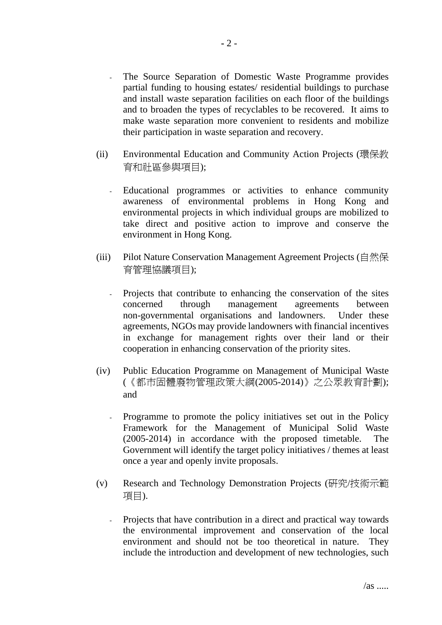- The Source Separation of Domestic Waste Programme provides partial funding to housing estates/ residential buildings to purchase and install waste separation facilities on each floor of the buildings and to broaden the types of recyclables to be recovered. It aims to make waste separation more convenient to residents and mobilize their participation in waste separation and recovery.
- (ii) Environmental Education and Community Action Projects (環保教 育和社區參與項目);
	- Educational programmes or activities to enhance community awareness of environmental problems in Hong Kong and environmental projects in which individual groups are mobilized to take direct and positive action to improve and conserve the environment in Hong Kong.
- (iii) Pilot Nature Conservation Management Agreement Projects (自然保 育管理協議項目);
	- Projects that contribute to enhancing the conservation of the sites concerned through management agreements between non-governmental organisations and landowners. Under these agreements, NGOs may provide landowners with financial incentives in exchange for management rights over their land or their cooperation in enhancing conservation of the priority sites.
- (iv) Public Education Programme on Management of Municipal Waste (《都市固體廢物管理政策大綱(2005-2014)》之公眾教育計劃); and
	- Programme to promote the policy initiatives set out in the Policy Framework for the Management of Municipal Solid Waste (2005-2014) in accordance with the proposed timetable. The Government will identify the target policy initiatives / themes at least once a year and openly invite proposals.
- (v) Research and Technology Demonstration Projects (研究/技術示範 項目).
	- Projects that have contribution in a direct and practical way towards the environmental improvement and conservation of the local environment and should not be too theoretical in nature. They include the introduction and development of new technologies, such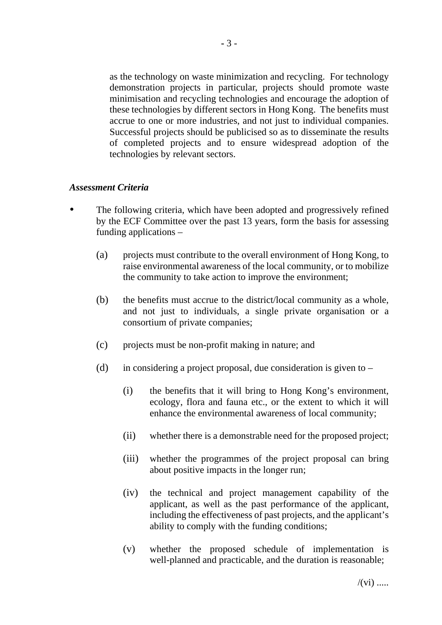as the technology on waste minimization and recycling. For technology demonstration projects in particular, projects should promote waste minimisation and recycling technologies and encourage the adoption of these technologies by different sectors in Hong Kong. The benefits must accrue to one or more industries, and not just to individual companies. Successful projects should be publicised so as to disseminate the results of completed projects and to ensure widespread adoption of the technologies by relevant sectors.

#### *Assessment Criteria*

- The following criteria, which have been adopted and progressively refined by the ECF Committee over the past 13 years, form the basis for assessing funding applications –
	- (a) projects must contribute to the overall environment of Hong Kong, to raise environmental awareness of the local community, or to mobilize the community to take action to improve the environment;
	- (b) the benefits must accrue to the district/local community as a whole, and not just to individuals, a single private organisation or a consortium of private companies;
	- (c) projects must be non-profit making in nature; and
	- (d) in considering a project proposal, due consideration is given to  $-$ 
		- (i) the benefits that it will bring to Hong Kong's environment, ecology, flora and fauna etc., or the extent to which it will enhance the environmental awareness of local community;
		- (ii) whether there is a demonstrable need for the proposed project;
		- (iii) whether the programmes of the project proposal can bring about positive impacts in the longer run;
		- (iv) the technical and project management capability of the applicant, as well as the past performance of the applicant, including the effectiveness of past projects, and the applicant's ability to comply with the funding conditions;
		- (v) whether the proposed schedule of implementation is well-planned and practicable, and the duration is reasonable;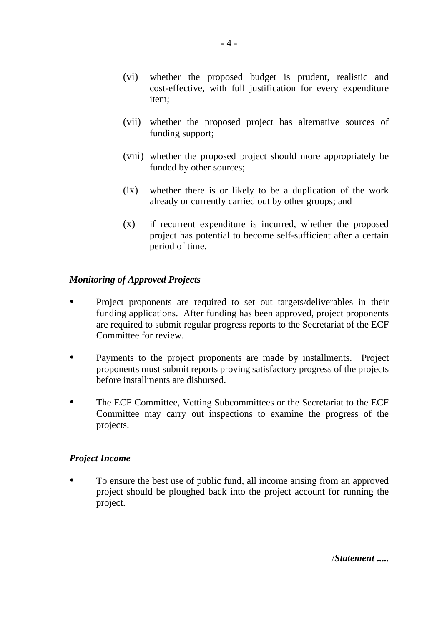- (vi) whether the proposed budget is prudent, realistic and cost-effective, with full justification for every expenditure item;
- (vii) whether the proposed project has alternative sources of funding support;
- (viii) whether the proposed project should more appropriately be funded by other sources;
- (ix) whether there is or likely to be a duplication of the work already or currently carried out by other groups; and
- (x) if recurrent expenditure is incurred, whether the proposed project has potential to become self-sufficient after a certain period of time.

# *Monitoring of Approved Projects*

- Project proponents are required to set out targets/deliverables in their funding applications. After funding has been approved, project proponents are required to submit regular progress reports to the Secretariat of the ECF Committee for review.
- Payments to the project proponents are made by installments. Project proponents must submit reports proving satisfactory progress of the projects before installments are disbursed.
- The ECF Committee, Vetting Subcommittees or the Secretariat to the ECF Committee may carry out inspections to examine the progress of the projects.

# *Project Income*

• To ensure the best use of public fund, all income arising from an approved project should be ploughed back into the project account for running the project.

/*Statement* **.....**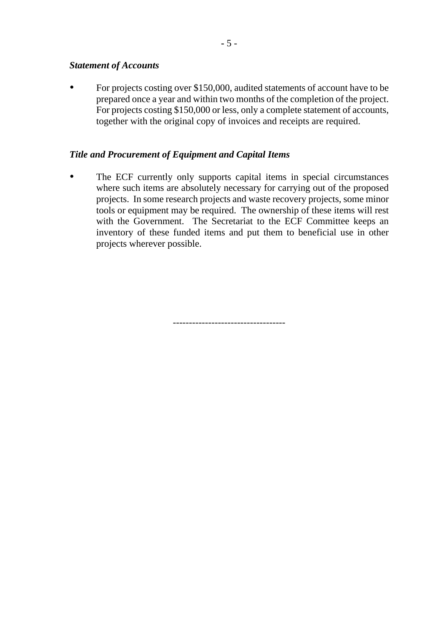#### *Statement of Accounts*

For projects costing over \$150,000, audited statements of account have to be prepared once a year and within two months of the completion of the project. For projects costing \$150,000 or less, only a complete statement of accounts, together with the original copy of invoices and receipts are required.

### *Title and Procurement of Equipment and Capital Items*

The ECF currently only supports capital items in special circumstances where such items are absolutely necessary for carrying out of the proposed projects. In some research projects and waste recovery projects, some minor tools or equipment may be required. The ownership of these items will rest with the Government. The Secretariat to the ECF Committee keeps an inventory of these funded items and put them to beneficial use in other projects wherever possible.

-----------------------------------